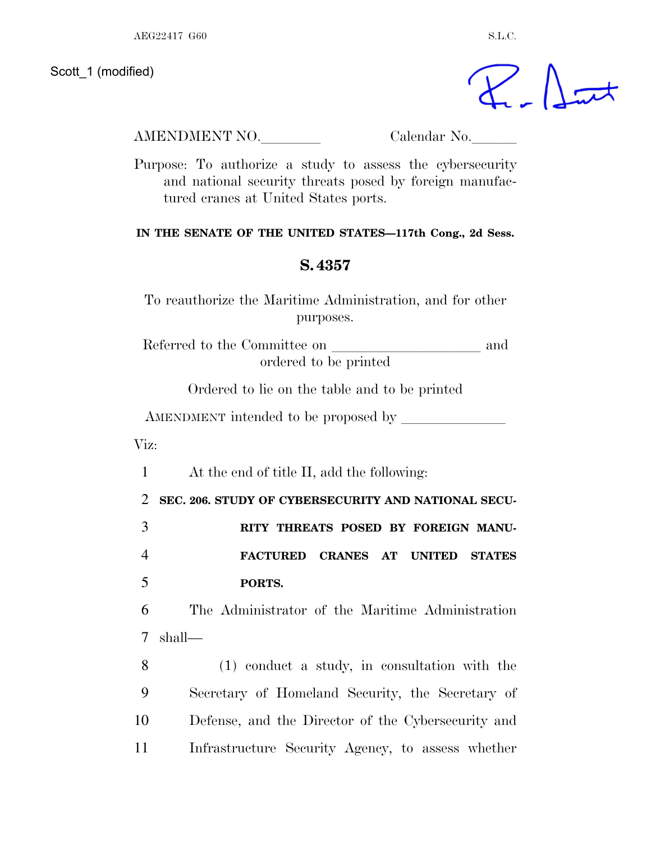Scott 1 (modified)

 $\gamma$  at

AMENDMENT NO. Calendar No.

Purpose: To authorize a study to assess the cybersecurity and national security threats posed by foreign manufactured cranes at United States ports.

## **IN THE SENATE OF THE UNITED STATES—117th Cong., 2d Sess.**

## **S. 4357**

To reauthorize the Maritime Administration, and for other purposes.

Referred to the Committee on  $\qquad \qquad$  and ordered to be printed

Ordered to lie on the table and to be printed

AMENDMENT intended to be proposed by

Viz:

1 At the end of title II, add the following:

2 **SEC. 206. STUDY OF CYBERSECURITY AND NATIONAL SECU-**3 **RITY THREATS POSED BY FOREIGN MANU-**4 **FACTURED CRANES AT UNITED STATES**

5 **PORTS.** 

6 The Administrator of the Maritime Administration 7 shall—

 (1) conduct a study, in consultation with the Secretary of Homeland Security, the Secretary of Defense, and the Director of the Cybersecurity and Infrastructure Security Agency, to assess whether